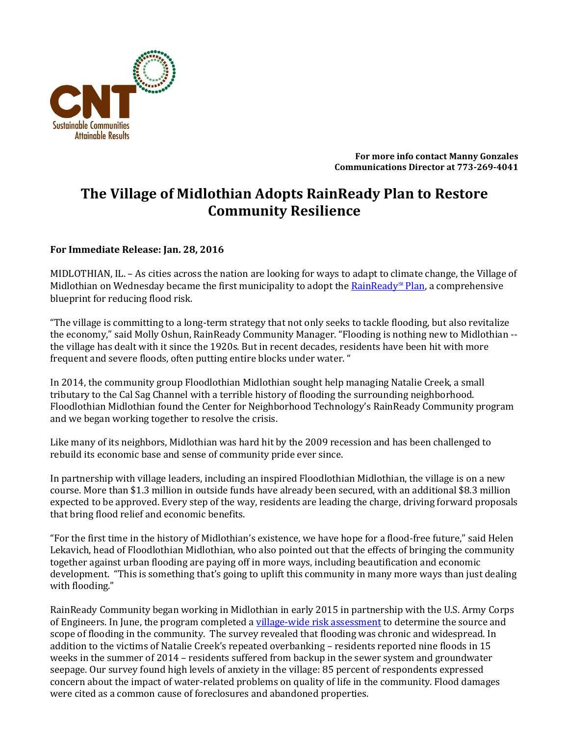

**For more info contact Manny Gonzales Communications Director at 773-269-4041**

## **The Village of Midlothian Adopts RainReady Plan to Restore Community Resilience**

## **For Immediate Release: Jan. 28, 2016**

MIDLOTHIAN, IL. – As cities across the nation are looking for ways to adapt to climate change, the Village of Midlothian on Wednesday became the first municipality to adopt the [RainReady](http://www.cnt.org/publications/rainready-midlothian-plan)<sup>®</sup> Plan, a comprehensive blueprint for reducing flood risk.

"The village is committing to a long-term strategy that not only seeks to tackle flooding, but also revitalize the economy," said Molly Oshun, RainReady Community Manager. "Flooding is nothing new to Midlothian - the village has dealt with it since the 1920s. But in recent decades, residents have been hit with more frequent and severe floods, often putting entire blocks under water. "

In 2014, the community group Floodlothian Midlothian sought help managing Natalie Creek, a small tributary to the Cal Sag Channel with a terrible history of flooding the surrounding neighborhood. Floodlothian Midlothian found the Center for Neighborhood Technology's RainReady Community program and we began working together to resolve the crisis.

Like many of its neighbors, Midlothian was hard hit by the 2009 recession and has been challenged to rebuild its economic base and sense of community pride ever since.

In partnership with village leaders, including an inspired Floodlothian Midlothian, the village is on a new course. More than \$1.3 million in outside funds have already been secured, with an additional \$8.3 million expected to be approved. Every step of the way, residents are leading the charge, driving forward proposals that bring flood relief and economic benefits.

"For the first time in the history of Midlothian's existence, we have hope for a flood-free future," said Helen Lekavich, head of Floodlothian Midlothian, who also pointed out that the effects of bringing the community together against urban flooding are paying off in more ways, including beautification and economic development. "This is something that's going to uplift this community in many more ways than just dealing with flooding."

RainReady Community began working in Midlothian in early 2015 in partnership with the U.S. Army Corps of Engineers. In June, the program completed a [village-wide risk assessment](http://www.cnt.org/publications/rainready-midlothian-interim-report) to determine the source and scope of flooding in the community. The survey revealed that flooding was chronic and widespread. In addition to the victims of Natalie Creek's repeated overbanking – residents reported nine floods in 15 weeks in the summer of 2014 – residents suffered from backup in the sewer system and groundwater seepage. Our survey found high levels of anxiety in the village: 85 percent of respondents expressed concern about the impact of water-related problems on quality of life in the community. Flood damages were cited as a common cause of foreclosures and abandoned properties.